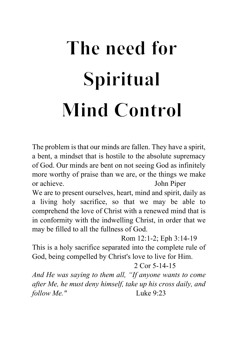# The need for Spiritual **Mind Control**

The problem is that our minds are fallen. They have a spirit, a bent, a mindset that is hostile to the absolute supremacy of God. Our minds are bent on not seeing God as infinitely more worthy of praise than we are, or the things we make or achieve. John Piper

We are to present ourselves, heart, mind and spirit, daily as a living holy sacrifice, so that we may be able to comprehend the love of Christ with a renewed mind that is in conformity with the indwelling Christ, in order that we may be filled to all the fullness of God.

 Rom 12:1-2; Eph 3:14-19 This is a holy sacrifice separated into the complete rule of God, being compelled by Christ's love to live for Him.

# 2 Cor 5-14-15

*And He was saying to them all, "If anyone wants to come after Me, he must deny himself, take up his cross daily, and follow Me."* Luke 9:23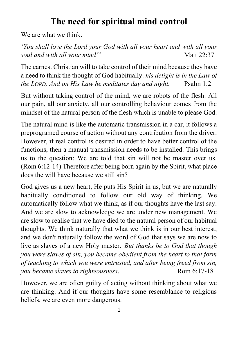# **The need for spiritual mind control**

We are what we think.

*'You shall love the Lord your God with all your heart and with all your soul and with all your mind*" Matt 22:37

The earnest Christian will to take control of their mind because they have a need to think the thought of God habitually. *his delight is in the Law of the LORD, And on His Law he meditates day and night.* Psalm 1:2

But without taking control of the mind, we are robots of the flesh. All our pain, all our anxiety, all our controlling behaviour comes from the mindset of the natural person of the flesh which is unable to please God.

The natural mind is like the automatic transmission in a car, it follows a preprogramed course of action without any contribution from the driver. However, if real control is desired in order to have better control of the functions, then a manual transmission needs to be installed. This brings us to the question: We are told that sin will not be master over us. (Rom 6:12-14) Therefore after being born again by the Spirit, what place does the will have because we still sin?

God gives us a new heart, He puts His Spirit in us, but we are naturally habitually conditioned to follow our old way of thinking. We automatically follow what we think, as if our thoughts have the last say. And we are slow to acknowledge we are under new management. We are slow to realise that we have died to the natural person of our habitual thoughts. We think naturally that what we think is in our best interest, and we don't naturally follow the word of God that says we are now to live as slaves of a new Holy master. *But thanks be to God that though you were slaves of sin, you became obedient from the heart to that form of teaching to which you were entrusted, and after being freed from sin, you became slaves to righteousness.* Rom 6:17-18

However, we are often guilty of acting without thinking about what we are thinking. And if our thoughts have some resemblance to religious beliefs, we are even more dangerous.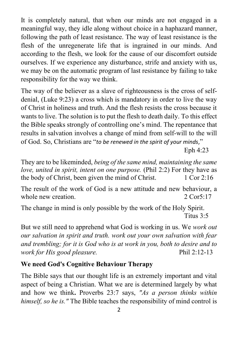It is completely natural, that when our minds are not engaged in a meaningful way, they idle along without choice in a haphazard manner, following the path of least resistance. The way of least resistance is the flesh of the unregenerate life that is ingrained in our minds. And according to the flesh, we look for the cause of our discomfort outside ourselves. If we experience any disturbance, strife and anxiety with us, we may be on the automatic program of last resistance by failing to take responsibility for the way we think.

The way of the believer as a slave of righteousness is the cross of selfdenial, (Luke 9:23) a cross which is mandatory in order to live the way of Christ in holiness and truth. And the flesh resists the cross because it wants to live. The solution is to put the flesh to death daily. To this effect the Bible speaks strongly of controlling one's mind. The [repentance](https://www.gotquestions.org/repentance.html) that results in salvation involves a change of mind from self-will to the will of God. So, Christians are "*to be renewed in the spirit of your minds*,"

Eph 4:[23](https://biblia.com/bible/esv/Eph%204.29)

They are to be likeminded, *being of the same mind, maintaining the same love, united in spirit, intent on one purpose.* [\(Phil](https://biblia.com/bible/esv/Phil%202.2) 2:2) For they have as the body of Christ, been given the mind of Christ. [1 Cor 2:16](https://biblia.com/bible/esv/1%20Cor%202.16)

The result of the work of God is a new attitude and new behaviour, a whole new creation. [2 Cor5:17](https://biblia.com/bible/esv/2%20Cor%205.17)

The change in mind is only possible by the work of the Holy Spirit. [Titus 3:5](https://biblia.com/bible/esv/Titus%203.5)

But we still need to apprehend what God is working in us. We *work out our salvation in spirit and truth. work out your own salvation with fear and trembling; for it is God who is at work in you, both to desire and to work for His good pleasure.* Phil 2:12-13

# **We need God's Cognitive Behaviour Therapy**

The Bible says that our thought life is an extremely important and vital aspect of being a Christian. What we are is determined largely by what and how we think**.** Proverbs 23:7 says, *"As a person thinks within himself, so he is."* The Bible teaches the responsibility of mind control is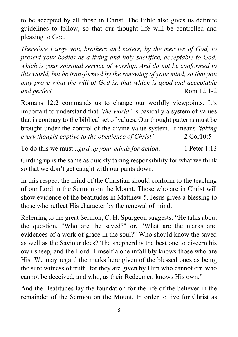to be accepted by all those in Christ. The Bible also gives us definite guidelines to follow, so that our thought life will be controlled and pleasing to God.

*Therefore I urge you, brothers and sisters, by the mercies of God, to present your bodies as a living and holy sacrifice, acceptable to God, which is your spiritual service of worship. And do not be conformed to this world, but be transformed by the renewing of your mind, so that you may prove what the will of God is, that which is good and acceptable and perfect.* Rom 12:1-2

Romans 12:2 commands us to change our worldly viewpoints. It's important to understand that "*the world*" is basically a system of values that is contrary to the biblical set of values**.** Our thought patterns must be brought under the control of the divine value system. It means *'taking every thought captive to the obedience of Christ'* 2 Cor10:5

To do this we must...*gird up your minds for action*. 1 Peter 1:13

Girding up is the same as quickly taking responsibility for what we think so that we don't get caught with our pants down.

In this respect the mind of the Christian should conform to the teaching of our Lord in the Sermon on the Mount. Those who are in Christ will show evidence of the beatitudes in Matthew 5. Jesus gives a blessing to those who reflect His character by the renewal of mind.

Referring to the great Sermon, C. H. Spurgeon suggests: "He talks about the question, "Who are the saved?" or, "What are the marks and evidences of a work of grace in the soul?" Who should know the saved as well as the Saviour does? The shepherd is the best one to discern his own sheep, and the Lord Himself alone infallibly knows those who are His. We may regard the marks here given of the blessed ones as being the sure witness of truth, for they are given by Him who cannot err, who cannot be deceived, and who, as their Redeemer, knows His own."

And the Beatitudes lay the foundation for the life of the believer in the remainder of the Sermon on the Mount. In order to live for Christ as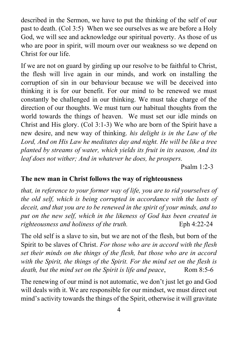described in the Sermon, we have to put the thinking of the self of our past to death. (Col 3:5) When we see ourselves as we are before a Holy God, we will see and acknowledge our spiritual poverty. As those of us who are poor in spirit, will mourn over our weakness so we depend on Christ for our life.

If we are not on guard by girding up our resolve to be faithful to Christ, the flesh will live again in our minds, and work on installing the corruption of sin in our behaviour because we will be deceived into thinking it is for our benefit. For our mind to be renewed we must constantly be challenged in our thinking. We must take charge of the direction of our thoughts. We must turn our habitual thoughts from the world towards the things of heaven. We must set our idle minds on Christ and His glory. (Col 3:1-3) We who are born of the Spirit have a new desire, and new way of thinking. *his delight is in the Law of the Lord, And on His Law he meditates day and night. He will be like a tree planted by streams of water, which yields its fruit in its season, And its leaf does not wither; And in whatever he does, he prospers.*

Psalm 1:2-3

# **The new man in Christ follows the way of righteousness**

*that, in reference to your former way of life, you are to rid yourselves of the old self, which is being corrupted in accordance with the lusts of deceit, and that you are to be renewed in the spirit of your minds, and to put on the new self, which in the likeness of God has been created in righteousness and holiness of the truth.* Eph 4:22-24

The old self is a slave to sin, but we are not of the flesh, but born of the Spirit to be slaves of Christ. *For those who are in accord with the flesh set their minds on the things of the flesh, but those who are in accord with the Spirit, the things of the Spirit. For the mind set on the flesh is death, but the mind set on the Spirit is life and peace,* Rom 8:5-6

The renewing of our mind is not automatic, we don't just let go and God will deals with it. We are responsible for our mindset, we must direct out mind's activity towards the things of the Spirit, otherwise it will gravitate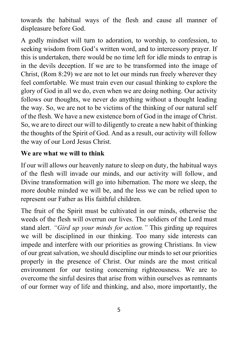towards the habitual ways of the flesh and cause all manner of displeasure before God.

A godly mindset will turn to adoration, to worship, to confession, to seeking wisdom from God's written word, and to intercessory prayer. If this is undertaken, there would be no time left for idle minds to entrap is in the devils deception. If we are to be transformed into the image of Christ, (Rom 8:29) we are not to let our minds run freely wherever they feel comfortable. We must train even our casual thinking to explore the glory of God in all we do, even when we are doing nothing. Our activity follows our thoughts, we never do anything without a thought leading the way. So, we are not to be victims of the thinking of our natural self of the flesh. We have a new existence born of God in the image of Christ. So, we are to direct our will to diligently to create a new habit of thinking the thoughts of the Spirit of God. And as a result, our activity will follow the way of our Lord Jesus Christ.

### **We are what we will to think**

If our will allows our heavenly nature to sleep on duty, the habitual ways of the flesh will invade our minds, and our activity will follow, and Divine transformation will go into hibernation. The more we sleep, the more double minded we will be, and the less we can be relied upon to represent our Father as His faithful children.

The fruit of the Spirit must be cultivated in our minds, otherwise the weeds of the flesh will overrun our lives. The soldiers of the Lord must stand alert. *"Gird up your minds for action."* This girding up requires we will be disciplined in our thinking. Too many side interests can impede and interfere with our priorities as growing Christians. In view of our great salvation, we should discipline our minds to set our priorities properly in the presence of Christ. Our minds are the most critical environment for our testing concerning righteousness. We are to overcome the sinful desires that arise from within ourselves as remnants of our former way of life and thinking, and also, more importantly, the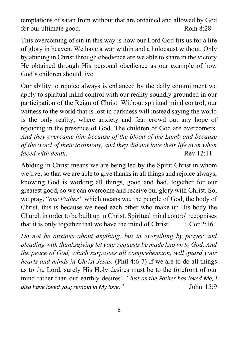temptations of satan from without that are ordained and allowed by God for our ultimate good. Rom 8:28

This overcoming of sin in this way is how our Lord God fits us for a life of glory in heaven. We have a war within and a holocaust without. Only by abiding in Christ through obedience are we able to share in the victory He obtained through His personal obedience as our example of how God's children should live.

Our ability to rejoice always is enhanced by the daily commitment we apply to spiritual mind control with our reality soundly grounded in our participation of the Reign of Christ. Without spiritual mind control, our witness to the world that is lost in darkness will instead saying the world is the only reality, where anxiety and fear crowd out any hope of rejoicing in the presence of God. The children of God are overcomers. *And they overcame him because of the blood of the Lamb and because of the word of their testimony, and they did not love their life even when faced with death.* Rev 12:11

Abiding in Christ means we are being led by the Spirit Christ in whom we live, so that we are able to give thanks in all things and rejoice always, knowing God is working all things, good and bad, together for our greatest good, so we can overcome and receive our glory with Christ. So, we pray, "*our Father"* which means we, the people of God, the body of Christ, this is because we need each other who make up His body the Church in order to be built up in Christ. Spiritual mind control recognises that it is only together that we have the mind of Christ.  $1 \text{ Cor } 2:16$ 

*Do not be anxious about anything, but in everything by prayer and pleading with thanksgiving let your requests be made known to God. And the peace of God, which surpasses all comprehension, will guard your hearts and minds in Christ Jesus.* (Phil 4:6-7) If we are to do all things as to the Lord, surely His Holy desires must be to the forefront of our mind rather than our earthly desires? *"Just as the Father has loved Me, I also have loved you; remain in My love."* John 15:9